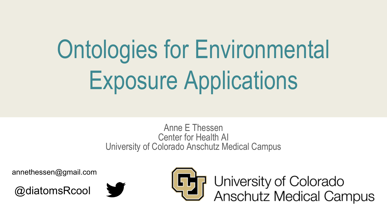# Ontologies for Environmental Exposure Applications

Anne E Thessen Center for Health AI University of Colorado Anschutz Medical Campus

annethessen@gmail.com







University of Colorado<br>Anschutz Medical Campus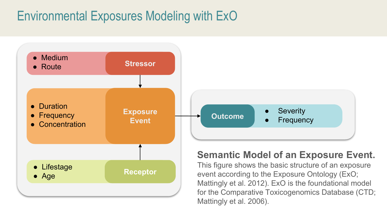# Environmental Exposures Modeling with ExO

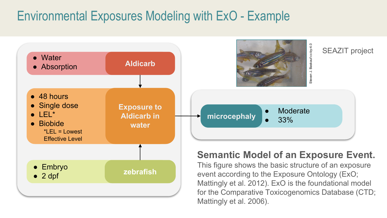# Environmental Exposures Modeling with ExO - Example

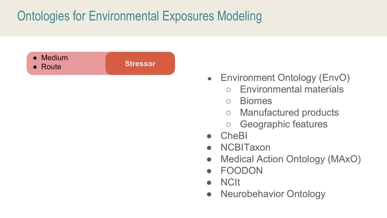

- Environment Ontology (EnvO)
	- Environmental materials
	- Biomes
	- Manufactured products
	- Geographic features
- **CheBI**
- **NCBITaxon**
- Medical Action Ontology (MAxO)
- **FOODON**
- NCIt
- Neurobehavior Ontology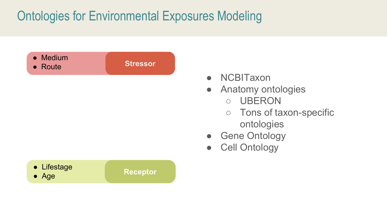

- NCBITaxon
- Anatomy ontologies
	- UBERON
	- Tons of taxon-specific ontologies
- **Gene Ontology**
- Cell Ontology

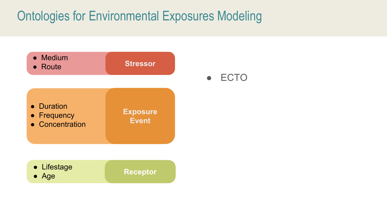

● ECTO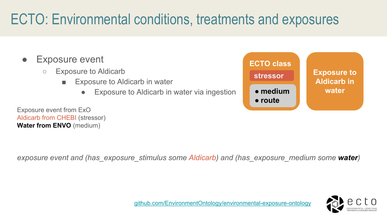# ECTO: Environmental conditions, treatments and exposures

- **Exposure event** 
	- Exposure to Aldicarb
		- **Exposure to Aldicarb in water** 
			- Exposure to Aldicarb in water via ingestion

Exposure event from ExO

![](_page_6_Figure_6.jpeg)

*exposure event and (has\_exposure\_stimulus some Aldicarb) and (has\_exposure\_medium some water)*

![](_page_6_Picture_8.jpeg)

Aldicarb from CHEBI (stressor) **Water from ENVO** (medium)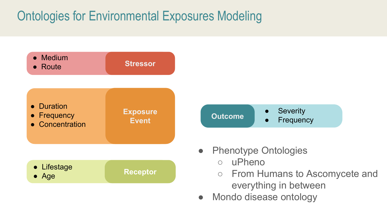![](_page_7_Figure_1.jpeg)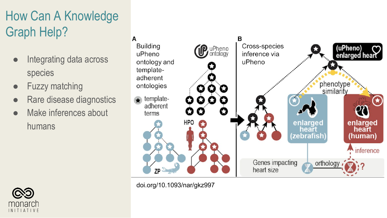# How Can A Knowledge Graph Help?

- Integrating data across species
- Fuzzy matching
- Rare disease diagnostics
- Make inferences about humans

![](_page_8_Picture_5.jpeg)

![](_page_8_Figure_6.jpeg)

doi.org/10.1093/nar/gkz997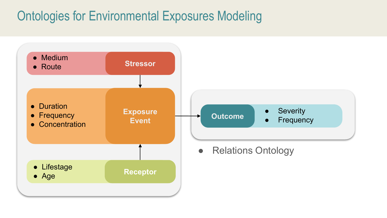![](_page_9_Figure_1.jpeg)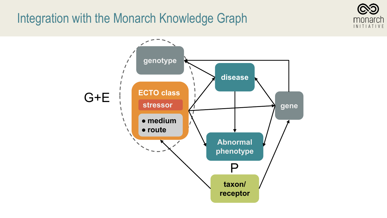#### Integration with the Monarch Knowledge Graph

![](_page_10_Picture_1.jpeg)

![](_page_10_Figure_2.jpeg)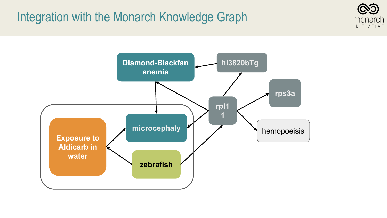## Integration with the Monarch Knowledge Graph

![](_page_11_Picture_1.jpeg)

![](_page_11_Figure_2.jpeg)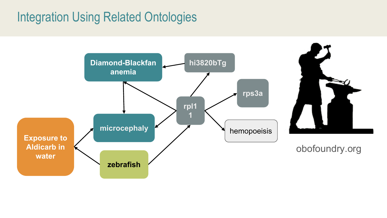# Integration Using Related Ontologies

![](_page_12_Figure_1.jpeg)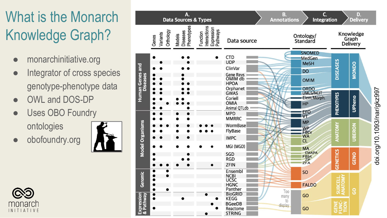# What is the Monarch Knowledge Graph?

- monarchinitiative.org
- Integrator of cross species genotype -phenotype data
- OWL and DOS-DP
- Uses OBO Foundry

ontologies

obofoundry.org

![](_page_13_Picture_7.jpeg)

![](_page_13_Picture_8.jpeg)

![](_page_13_Figure_9.jpeg)

doi.org/10.1093/nar/gkz997 doi.org/10.1093/nar/gkz997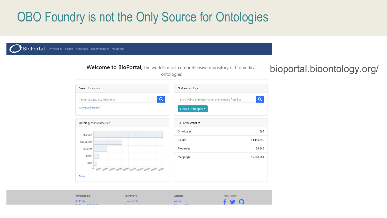# OBO Foundry is not the Only Source for Ontologies

![](_page_14_Figure_1.jpeg)

CONNECT **PRODUCTS SUPPORT ABOUT** BioPortal Contact Us About Us  $\bullet$  $\Omega$